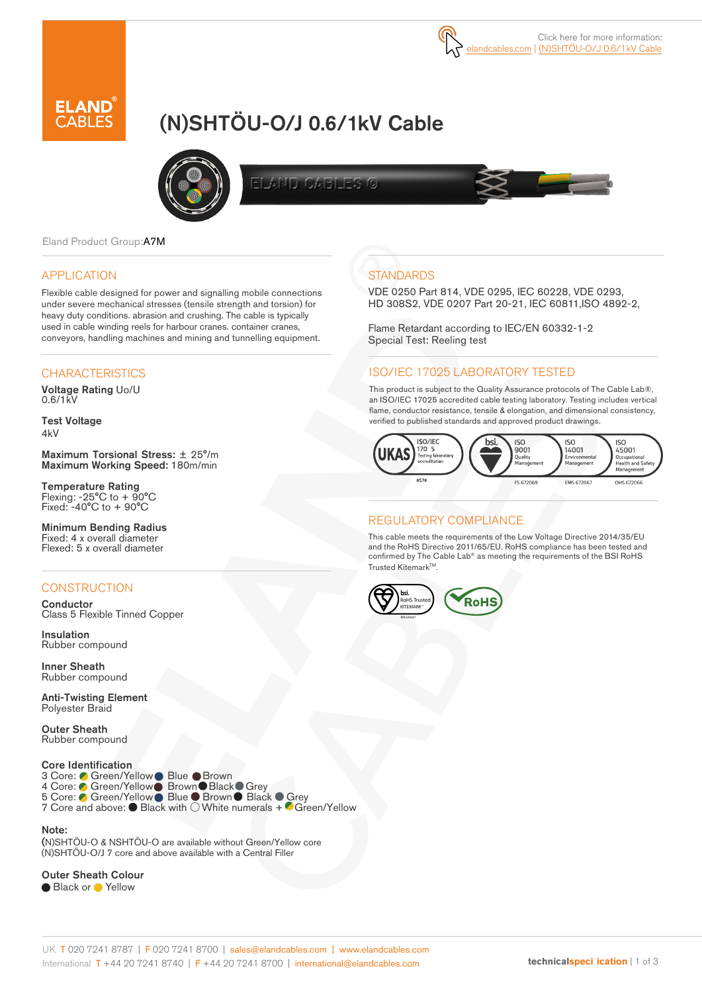# (N)SHTÖU-O/J 0.6/1kV Cable



ELAND CABLES G

Eland Product Group:A7M

#### APPLICATION

Flexible cable designed for power and signalling mobile connections under severe mechanical stresses (tensile strength and torsion) for heavy duty conditions. abrasion and crushing. The cable is typically used in cable winding reels for harbour cranes. container cranes, conveyors, handling machines and mining and tunnelling equipment.

#### **CHARACTERISTICS**

Voltage Rating Uo/U 0.6/1kV

Test Voltage 4kV

Maximum Torsional Stress: ± 25°/m Maximum Working Speed: 180m/min

Temperature Rating Flexing: -25°C to + 90°C Fixed: -40°C to + 90°C

Minimum Bending Radius Fixed: 4 x overall diameter Flexed: 5 x overall diameter

# **CONSTRUCTION**

**Conductor** Class 5 Flexible Tinned Copper

Insulation Rubber compound

Inner Sheath Rubber compound

Anti-Twisting Element Polyester Braid

Outer Sheath Rubber compound

#### Core Identification

3 Core: **Green/Yellow Blue Brown** 4 Core: Green/Yellow Brown Black Grey 5 Core: ● Green/Yellow Blue ● Brown ● Black ● Grey 7 Core and above: ● Black with ○ White numerals + ● Green/Yellow

Note:

(N)SHTÖU-O & NSHTÖU-O are available without Green/Yellow core (N)SHTÖU-O/J 7 core and above available with a Central Filler

Outer Sheath Colour

● Black or ● Yellow

# **STANDARDS**

VDE 0250 Part 814, VDE 0295, IEC 60228, VDE 0293, HD 308S2, VDE 0207 Part 20-21, IEC 60811,ISO 4892-2,

Flame Retardant according to IEC/EN 60332-1-2 Special Test: Reeling test

### ISO/IEC 17025 LABORATORY TESTED

This product is subject to the Quality Assurance protocols of The Cable Lab®, an ISO/IEC 17025 accredited cable testing laboratory. Testing includes vertical flame, conductor resistance, tensile & elongation, and dimensional consistency, verified to published standards and approved product drawings.



### REGULATORY COMPLIANCE

This cable meets the requirements of the Low Voltage Directive 2014/35/EU and the RoHS Directive 2011/65/EU. RoHS compliance has been tested and confirmed by The Cable Lab® as meeting the requirements of the BSI RoHS Trusted Kitemark™.

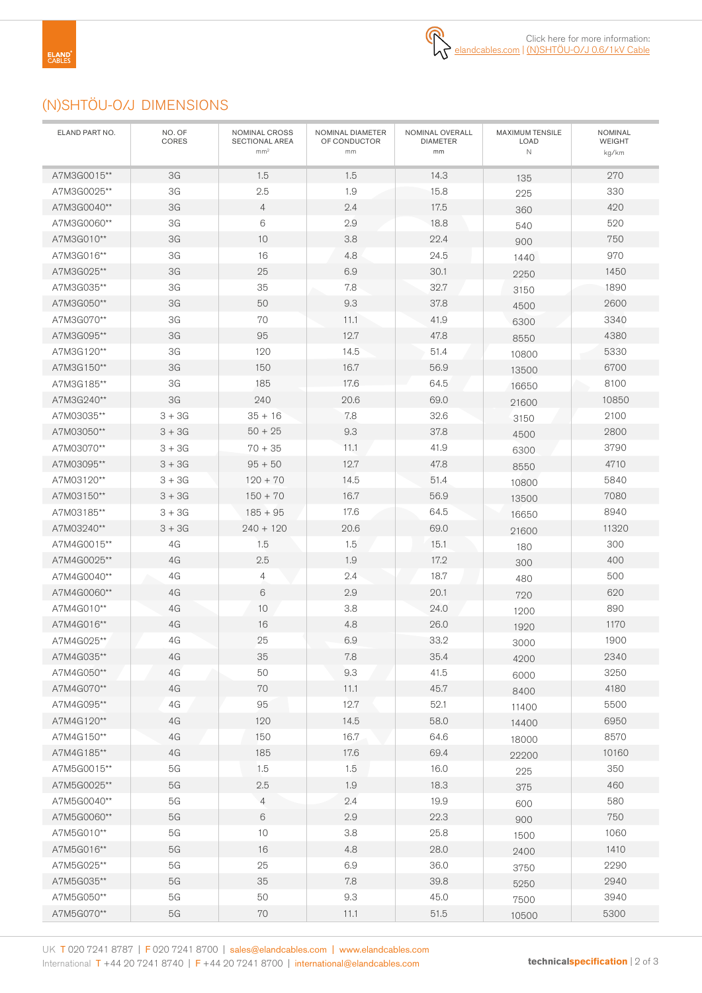# (N)SHTÖU-O/J DIMENSIONS

| ELAND PART NO.             | NO. OF<br>CORES     | NOMINAL CROSS<br>SECTIONAL AREA<br>mm <sup>2</sup> | NOMINAL DIAMETER<br>OF CONDUCTOR<br>mm | NOMINAL OVERALL<br><b>DIAMETER</b><br>mm | MAXIMUM TENSILE<br>LOAD<br>$\mathbb N$ | NOMINAL<br><b>WEIGHT</b><br>kg/km |
|----------------------------|---------------------|----------------------------------------------------|----------------------------------------|------------------------------------------|----------------------------------------|-----------------------------------|
| A7M3G0015**                | 3G                  | 1.5                                                | 1.5                                    | 14.3                                     | 135                                    | 270                               |
| A7M3G0025**                | 3G                  | 2.5                                                | 1.9                                    | 15.8                                     | 225                                    | 330                               |
| A7M3G0040**                | 3G                  | $\overline{4}$                                     | 2.4                                    | 17.5                                     | 360                                    | 420                               |
| A7M3G0060**                | 3G                  | 6                                                  | 2.9                                    | 18.8                                     | 540                                    | 520                               |
| A7M3G010**                 | 3G                  | 10                                                 | 3.8                                    | 22.4                                     | 900                                    | 750                               |
| A7M3G016**                 | 3G                  | 16                                                 | 4.8                                    | 24.5                                     | 1440                                   | 970                               |
| A7M3G025**                 | 3G                  | 25                                                 | 6.9                                    | 30.1                                     | 2250                                   | 1450                              |
| A7M3G035**                 | 3G                  | 35                                                 | 7.8                                    | 32.7                                     | 3150                                   | 1890                              |
| A7M3G050**                 | 3G                  | 50                                                 | 9.3                                    | 37.8                                     | 4500                                   | 2600                              |
| A7M3G070**                 | 3G                  | 70                                                 | 11.1                                   | 41.9                                     | 6300                                   | 3340                              |
| A7M3G095**                 | 3G                  | 95                                                 | 12.7                                   | 47.8                                     | 8550                                   | 4380                              |
| A7M3G120**                 | 3G                  | 120                                                | 14.5                                   | 51.4                                     | 10800                                  | 5330                              |
| A7M3G150**                 | 3G                  | 150                                                | 16.7                                   | 56.9                                     | 13500                                  | 6700                              |
| A7M3G185**                 | 3G                  | 185                                                | 17.6                                   | 64.5                                     | 16650                                  | 8100                              |
| A7M3G240**                 | 3G                  | 240                                                | 20.6                                   | 69.0                                     | 21600                                  | 10850                             |
| A7M03035**                 | $3 + 3G$            | $35 + 16$                                          | 7.8                                    | 32.6                                     | 3150                                   | 2100                              |
| A7M03050**                 | $3 + 3G$            | $50 + 25$                                          | 9.3                                    | 37.8                                     | 4500                                   | 2800                              |
| A7M03070**                 | $3 + 3G$            | $70 + 35$                                          | 11.1                                   | 41.9                                     | 6300                                   | 3790                              |
| A7M03095**                 | $3 + 3G$            | $95 + 50$                                          | 12.7                                   | 47.8                                     | 8550                                   | 4710                              |
| A7M03120**                 | $3 + 3G$            | $120 + 70$                                         | 14.5                                   | 51.4                                     | 10800                                  | 5840                              |
| A7M03150**                 | $3 + 3G$            | $150 + 70$                                         | 16.7                                   | 56.9                                     | 13500                                  | 7080                              |
| A7M03185**                 | $3 + 3G$            | $185 + 95$                                         | 17.6                                   | 64.5                                     | 16650                                  | 8940                              |
| A7M03240**                 | $3 + 3G$            | $240 + 120$                                        | 20.6                                   | 69.0                                     | 21600                                  | 11320                             |
| A7M4G0015**                | 4G                  | 1.5                                                | 1.5                                    | 15.1                                     | 180                                    | 300                               |
| A7M4G0025**                | 4G                  | 2.5                                                | 1.9                                    | 17.2                                     | 300                                    | 400                               |
| A7M4G0040**                | 4G                  | 4                                                  | 2.4                                    | 18.7                                     | 480                                    | 500                               |
| A7M4G0060**                | 4G                  | 6                                                  | 2.9                                    | 20.1                                     | 720                                    | 620                               |
| A7M4G010**                 | 4G                  | 10                                                 | 3.8                                    | 24.0                                     | 1200                                   | 890                               |
| A7M4G016**                 | 4G                  | 16                                                 | 4.8                                    | 26.0                                     | 1920                                   | 1170                              |
| A7M4G025**                 | 4G                  | 25                                                 | 6.9                                    | 33.2                                     | 3000                                   | 1900                              |
| A7M4G035**                 | 4G                  | 35                                                 | 7.8                                    | 35.4                                     | 4200                                   | 2340                              |
| A7M4G050**                 | 4G                  | 50                                                 | 9.3                                    | 41.5                                     | 6000                                   | 3250                              |
| A7M4G070**                 | 4G                  | 70                                                 | 11.1                                   | 45.7                                     | 8400                                   | 4180                              |
| A7M4G095**                 | 4G                  | 95                                                 | 12.7                                   | 52.1                                     | 11400                                  | 5500                              |
| A7M4G120**                 | 4G                  | 120                                                | 14.5                                   | 58.0                                     | 14400                                  | 6950                              |
| A7M4G150**                 | 4G                  | 150                                                | 16.7                                   | 64.6                                     | 18000                                  | 8570                              |
| A7M4G185**                 | 4G                  | 185                                                | 17.6                                   | 69.4                                     | 22200                                  | 10160                             |
| A7M5G0015**                | 5G                  | 1.5                                                | 1.5                                    | 16.0                                     | 225                                    | 350                               |
| A7M5G0025**                | $5G$                | 2.5                                                | 1.9                                    | 18.3                                     | 375                                    | 460                               |
| A7M5G0040**<br>A7M5G0060** | $5\mathrm{G}$       | $\overline{4}$                                     | 2.4                                    | 19.9                                     | 600                                    | 580                               |
|                            | $5G$                | $6\,$                                              | 2.9                                    | 22.3                                     | 900                                    | 750                               |
| A7M5G010**                 | 5G                  | $10$                                               | 3.8                                    | 25.8                                     | 1500                                   | 1060                              |
| A7M5G016**                 | $5G$                | 16                                                 | 4.8<br>6.9                             | 28.0                                     | 2400                                   | 1410                              |
| A7M5G025**<br>A7M5G035**   | $5\mathrm{G}$       | 25<br>35                                           | 7.8                                    | 36.0                                     | 3750                                   | 2290<br>2940                      |
| A7M5G050**                 | 5G<br>$5\mathrm{G}$ | 50                                                 | $9.3\,$                                | 39.8<br>45.0                             | 5250                                   | 3940                              |
| A7M5G070**                 | $5\mathrm{G}$       | 70                                                 | 11.1                                   | $51.5$                                   | 7500                                   | 5300                              |
|                            |                     |                                                    |                                        |                                          | 10500                                  |                                   |